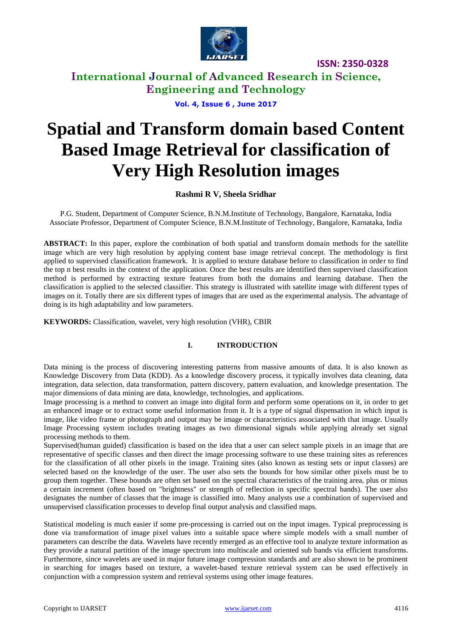

**International Journal of Advanced Research in Science, Engineering and Technology**

**Vol. 4, Issue 6 , June 2017**

# **Spatial and Transform domain based Content Based Image Retrieval for classification of Very High Resolution images**

#### **Rashmi R V, Sheela Sridhar**

P.G. Student, Department of Computer Science, B.N.M.Institute of Technology, Bangalore, Karnataka, India Associate Professor, Department of Computer Science, B.N.M.Institute of Technology, Bangalore, Karnataka, India

**ABSTRACT:** In this paper, explore the combination of both spatial and transform domain methods for the satellite image which are very high resolution by applying content base image retrieval concept. The methodology is first applied to supervised classification framework. It is applied to texture database before to classification in order to find the top n best results in the context of the application. Once the best results are identified then supervised classification method is performed by extracting texture features from both the domains and learning database. Then the classification is applied to the selected classifier. This strategy is illustrated with satellite image with different types of images on it. Totally there are six different types of images that are used as the experimental analysis. The advantage of doing is its high adaptability and low parameters.

**KEYWORDS:** Classification, wavelet, very high resolution (VHR), CBIR

#### **I. INTRODUCTION**

Data mining is the process of discovering interesting patterns from massive amounts of data. It is also known as Knowledge Discovery from Data (KDD). As a knowledge discovery process, it typically involves data cleaning, data integration, data selection, data transformation, pattern discovery, pattern evaluation, and knowledge presentation. The major dimensions of data mining are data, knowledge, technologies, and applications.

Image processing is a method to convert an image into digital form and perform some operations on it, in order to get an enhanced image or to extract some useful information from it. It is a type of signal dispensation in which input is image, like video frame or photograph and output may be image or characteristics associated with that image. Usually Image Processing system includes treating images as two dimensional signals while applying already set signal processing methods to them.

Supervised(human guided) classification is based on the idea that a user can select sample pixels in an image that are representative of specific classes and then direct the image processing software to use these training sites as references for the classification of all other pixels in the image. Training sites (also known as testing sets or input classes) are selected based on the knowledge of the user. The user also sets the bounds for how similar other pixels must be to group them together. These bounds are often set based on the spectral characteristics of the training area, plus or minus a certain increment (often based on "brightness" or strength of reflection in specific spectral bands). The user also designates the number of classes that the image is classified into. Many analysts use a combination of supervised and unsupervised classification processes to develop final output analysis and classified maps.

Statistical modeling is much easier if some pre-processing is carried out on the input images. Typical preprocessing is done via transformation of image pixel values into a suitable space where simple models with a small number of parameters can describe the data. Wavelets have recently emerged as an effective tool to analyze texture information as they provide a natural partition of the image spectrum into multiscale and oriented sub bands via efficient transforms. Furthermore, since wavelets are used in major future image compression standards and are also shown to be prominent in searching for images based on texture, a wavelet-based texture retrieval system can be used effectively in conjunction with a compression system and retrieval systems using other image features.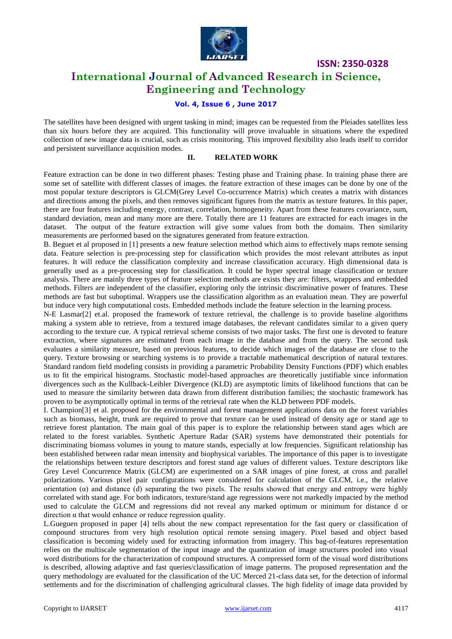

# **International Journal of Advanced Research in Science, Engineering and Technology**

#### **Vol. 4, Issue 6 , June 2017**

The satellites have been designed with urgent tasking in mind; images can be requested from the Pleiades satellites less than six hours before they are acquired. This functionality will prove invaluable in situations where the expedited collection of new image data is crucial, such as crisis monitoring. This improved flexibility also leads itself to corridor and persistent surveillance acquisition modes.

#### **II. RELATED WORK**

Feature extraction can be done in two different phases: Testing phase and Training phase. In training phase there are some set of satellite with different classes of images. the feature extraction of these images can be done by one of the most popular texture descriptors is GLCM(Grey Level Co-occurrence Matrix) which creates a matrix with distances and directions among the pixels, and then removes significant figures from the matrix as texture features. In this paper, there are four features including energy, contrast, correlation, homogeneity. Apart from these features covariance, sum, standard deviation, mean and many more are there. Totally there are 11 features are extracted for each images in the dataset. The output of the feature extraction will give some values from both the domains. Then similarity measurements are performed based on the signatures generated from feature extraction.

B. Beguet et al proposed in [1] presents a new feature selection method which aims to effectively maps remote sensing data. Feature selection is pre-processing step for classification which provides the most relevant attributes as input features. It will reduce the classification complexity and increase classification accuracy. High dimensional data is generally used as a pre-processing step for classification. It could be hyper spectral image classification or texture analysis. There are mainly three types of feature selection methods are exists they are: filters, wrappers and embedded methods. Filters are independent of the classifier, exploring only the intrinsic discriminative power of features. These methods are fast but suboptimal. Wrappers use the classification algorithm as an evaluation mean. They are powerful but induce very high computational costs. Embedded methods include the feature selection in the learning process.

N-E Lasmar[2] et.al. proposed the framework of texture retrieval, the challenge is to provide baseline algorithms making a system able to retrieve, from a textured image databases, the relevant candidates similar to a given query according to the texture cue. A typical retrieval scheme consists of two major tasks. The first one is devoted to feature extraction, where signatures are estimated from each image in the database and from the query. The second task evaluates a similarity measure, based on previous features, to decide which images of the database are close to the query. Texture browsing or searching systems is to provide a tractable mathematical description of natural textures. Standard random field modeling consists in providing a parametric Probability Density Functions (PDF) which enables us to fit the empirical histograms. Stochastic model-based approaches are theoretically justifiable since information divergences such as the Kullback-Leibler Divergence (KLD) are asymptotic limits of likelihood functions that can be used to measure the similarity between data drawn from different distribution families; the stochastic framework has proven to be asymptotically optimal in terms of the retrieval rate when the KLD between PDF models.

I. Champion[3] et al. proposed for the environmental and forest management applications data on the forest variables such as biomass, height, trunk are required to prove that texture can be used instead of density age or stand age to retrieve forest plantation. The main goal of this paper is to explore the relationship between stand ages which are related to the forest variables. Synthetic Aperture Radar (SAR) systems have demonstrated their potentials for discriminating biomass volumes in young to mature stands, especially at low frequencies. Significant relationship has been established between radar mean intensity and biophysical variables. The importance of this paper is to investigate the relationships between texture descriptors and forest stand age values of different values. Texture descriptors like Grey Level Concurrence Matrix (GLCM) are experimented on a SAR images of pine forest, at cross and parallel polarizations. Various pixel pair configurations were considered for calculation of the GLCM, i.e., the relative orientation  $(\alpha)$  and distance (d) separating the two pixels. The results showed that energy and entropy were highly correlated with stand age. For both indicators, texture/stand age regressions were not markedly impacted by the method used to calculate the GLCM and regressions did not reveal any marked optimum or minimum for distance d or direction  $α$  that would enhance or reduce regression quality.

L.Gueguen proposed in paper [4] tells about the new compact representation for the fast query or classification of compound structures from very high resolution optical remote sensing imagery. Pixel based and object based classification is becoming widely used for extracting information from imagery. This bag-of-features representation relies on the multiscale segmentation of the input image and the quantization of image structures pooled into visual word distributions for the characterization of compound structures. A compressed form of the visual word distributions is described, allowing adaptive and fast queries/classification of image patterns. The proposed representation and the query methodology are evaluated for the classification of the UC Merced 21-class data set, for the detection of informal settlements and for the discrimination of challenging agricultural classes. The high fidelity of image data provided by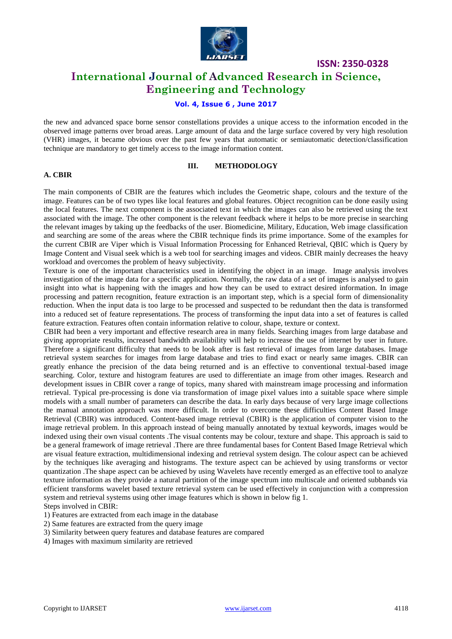

# **International Journal of Advanced Research in Science, Engineering and Technology**

#### **Vol. 4, Issue 6 , June 2017**

the new and advanced space borne sensor constellations provides a unique access to the information encoded in the observed image patterns over broad areas. Large amount of data and the large surface covered by very high resolution (VHR) images, it became obvious over the past few years that automatic or semiautomatic detection/classification technique are mandatory to get timely access to the image information content.

#### **III. METHODOLOGY**

#### **A. CBIR**

The main components of CBIR are the features which includes the Geometric shape, colours and the texture of the image. Features can be of two types like local features and global features. Object recognition can be done easily using the local features. The next component is the associated text in which the images can also be retrieved using the text associated with the image. The other component is the relevant feedback where it helps to be more precise in searching the relevant images by taking up the feedbacks of the user. Biomedicine, Military, Education, Web image classification and searching are some of the areas where the CBIR technique finds its prime importance. Some of the examples for the current CBIR are Viper which is Visual Information Processing for Enhanced Retrieval, QBIC which is Query by Image Content and Visual seek which is a web tool for searching images and videos. CBIR mainly decreases the heavy workload and overcomes the problem of heavy subjectivity.

Texture is one of the important characteristics used in identifying the object in an image. Image analysis involves investigation of the image data for a specific application. Normally, the raw data of a set of images is analysed to gain insight into what is happening with the images and how they can be used to extract desired information. In image processing and pattern recognition, feature extraction is an important step, which is a special form of dimensionality reduction. When the input data is too large to be processed and suspected to be redundant then the data is transformed into a reduced set of feature representations. The process of transforming the input data into a set of features is called feature extraction. Features often contain information relative to colour, shape, texture or context.

CBIR had been a very important and effective research area in many fields. Searching images from large database and giving appropriate results, increased bandwidth availability will help to increase the use of internet by user in future. Therefore a significant difficulty that needs to be look after is fast retrieval of images from large databases. Image retrieval system searches for images from large database and tries to find exact or nearly same images. CBIR can greatly enhance the precision of the data being returned and is an effective to conventional textual-based image searching. Color, texture and histogram features are used to differentiate an image from other images. Research and development issues in CBIR cover a range of topics, many shared with mainstream image processing and information retrieval. Typical pre-processing is done via transformation of image pixel values into a suitable space where simple models with a small number of parameters can describe the data. In early days because of very large image collections the manual annotation approach was more difficult. In order to overcome these difficulties Content Based Image Retrieval (CBIR) was introduced. Content-based image retrieval (CBIR) is the application of computer vision to the image retrieval problem. In this approach instead of being manually annotated by textual keywords, images would be indexed using their own visual contents .The visual contents may be colour, texture and shape. This approach is said to be a general framework of image retrieval .There are three fundamental bases for Content Based Image Retrieval which are visual feature extraction, multidimensional indexing and retrieval system design. The colour aspect can be achieved by the techniques like averaging and histograms. The texture aspect can be achieved by using transforms or vector quantization .The shape aspect can be achieved by using Wavelets have recently emerged as an effective tool to analyze texture information as they provide a natural partition of the image spectrum into multiscale and oriented subbands via efficient transforms wavelet based texture retrieval system can be used effectively in conjunction with a compression system and retrieval systems using other image features which is shown in below fig 1. Steps involved in CBIR:

1) Features are extracted from each image in the database

2) Same features are extracted from the query image

3) Similarity between query features and database features are compared

4) Images with maximum similarity are retrieved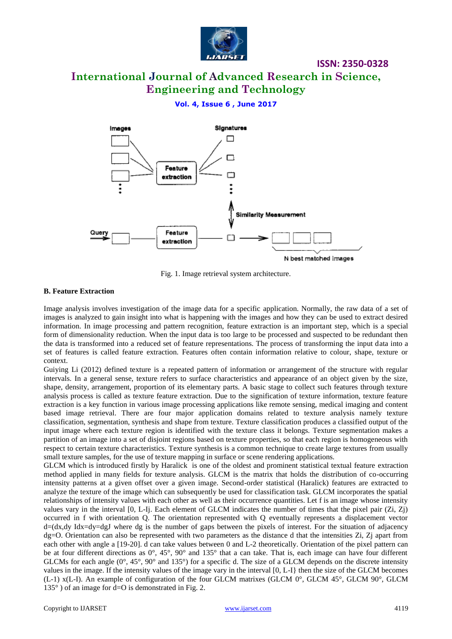

# **International Journal of Advanced Research in Science, Engineering and Technology**

**ISSN: 2350-0328**

#### **Vol. 4, Issue 6 , June 2017**



Fig. 1. Image retrieval system architecture.

#### **B. Feature Extraction**

Image analysis involves investigation of the image data for a specific application. Normally, the raw data of a set of images is analyzed to gain insight into what is happening with the images and how they can be used to extract desired information. In image processing and pattern recognition, feature extraction is an important step, which is a special form of dimensionality reduction. When the input data is too large to be processed and suspected to be redundant then the data is transformed into a reduced set of feature representations. The process of transforming the input data into a set of features is called feature extraction. Features often contain information relative to colour, shape, texture or context.

Guiying Li (2012) defined texture is a repeated pattern of information or arrangement of the structure with regular intervals. In a general sense, texture refers to surface characteristics and appearance of an object given by the size, shape, density, arrangement, proportion of its elementary parts. A basic stage to collect such features through texture analysis process is called as texture feature extraction. Due to the signification of texture information, texture feature extraction is a key function in various image processing applications like remote sensing, medical imaging and content based image retrieval. There are four major application domains related to texture analysis namely texture classification, segmentation, synthesis and shape from texture. Texture classification produces a classified output of the input image where each texture region is identified with the texture class it belongs. Texture segmentation makes a partition of an image into a set of disjoint regions based on texture properties, so that each region is homogeneous with respect to certain texture characteristics. Texture synthesis is a common technique to create large textures from usually small texture samples, for the use of texture mapping in surface or scene rendering applications.

GLCM which is introduced firstly by Haralick is one of the oldest and prominent statistical textual feature extraction method applied in many fields for texture analysis. GLCM is the matrix that holds the distribution of co-occurring intensity patterns at a given offset over a given image. Second-order statistical (Haralick) features are extracted to analyze the texture of the image which can subsequently be used for classification task. GLCM incorporates the spatial relationships of intensity values with each other as well as their occurrence quantities. Let f is an image whose intensity values vary in the interval [0, L-Ij. Each element of GLCM indicates the number of times that the pixel pair (Zi, Zj) occurred in f with orientation Q. The orientation represented with Q eventually represents a displacement vector d=(dx,dy Idx=dy=dgJ where dg is the number of gaps between the pixels of interest. For the situation of adjacency dg=O. Orientation can also be represented with two parameters as the distance d that the intensities Zi, Zj apart from each other with angle a [19-20]. d can take values between 0 and L-2 theoretically. Orientation of the pixel pattern can be at four different directions as  $0^\circ$ ,  $45^\circ$ ,  $90^\circ$  and  $135^\circ$  that a can take. That is, each image can have four different GLCMs for each angle  $(0^{\circ}, 45^{\circ}, 90^{\circ})$  and 135°) for a specific d. The size of a GLCM depends on the discrete intensity values in the image. If the intensity values of the image vary in the interval [0, L-I} then the size of the GLCM becomes (L-1) x(L-I). An example of configuration of the four GLCM matrixes (GLCM 0°, GLCM 45°, GLCM 90°, GLCM 135° ) of an image for d=O is demonstrated in Fig. 2.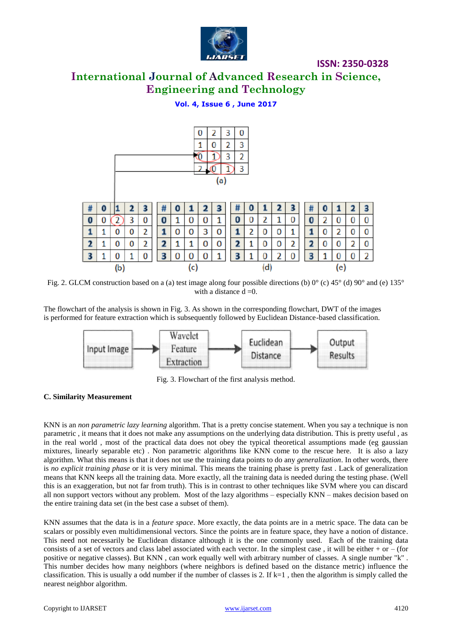

# **International Journal of Advanced Research in Science, Engineering and Technology**

#### **Vol. 4, Issue 6 , June 2017**



Fig. 2. GLCM construction based on a (a) test image along four possible directions (b) 0° (c) 45° (d) 90° and (e) 135° with a distance  $d = 0$ .

The flowchart of the analysis is shown in Fig. 3. As shown in the corresponding flowchart, DWT of the images is performed for feature extraction which is subsequently followed by Euclidean Distance-based classification.



Fig. 3. Flowchart of the first analysis method.

#### **C. Similarity Measurement**

KNN is an *non parametric lazy learning* algorithm. That is a pretty concise statement. When you say a technique is non parametric , it means that it does not make any assumptions on the underlying data distribution. This is pretty useful , as in the real world , most of the practical data does not obey the typical theoretical assumptions made (eg gaussian mixtures, linearly separable etc) . Non parametric algorithms like KNN come to the rescue here. It is also a lazy algorithm. What this means is that it does not use the training data points to do any *generalization*. In other words, there is *no explicit training phase* or it is very minimal. This means the training phase is pretty fast . Lack of generalization means that KNN keeps all the training data. More exactly, all the training data is needed during the testing phase. (Well this is an exaggeration, but not far from truth). This is in contrast to other techniques like SVM where you can discard all non support vectors without any problem. Most of the lazy algorithms – especially KNN – makes decision based on the entire training data set (in the best case a subset of them).

KNN assumes that the data is in a *feature space*. More exactly, the data points are in a metric space. The data can be scalars or possibly even multidimensional vectors. Since the points are in feature space, they have a notion of distance. This need not necessarily be Euclidean distance although it is the one commonly used. Each of the training data consists of a set of vectors and class label associated with each vector. In the simplest case, it will be either + or – (for positive or negative classes). But KNN , can work equally well with arbitrary number of classes. A single number "k" . This number decides how many neighbors (where neighbors is defined based on the distance metric) influence the classification. This is usually a odd number if the number of classes is 2. If  $k=1$ , then the algorithm is simply called the nearest neighbor algorithm.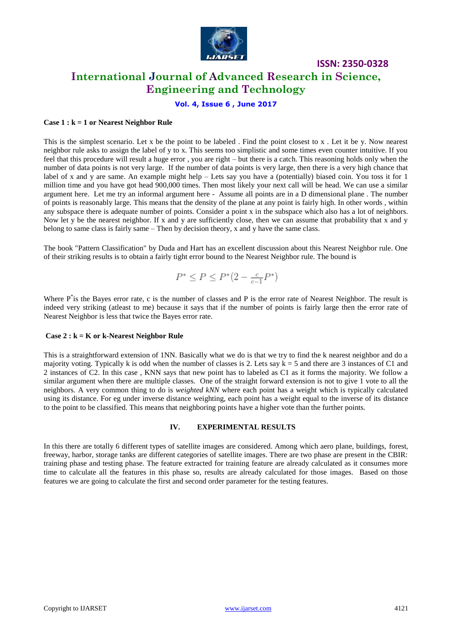

### **International Journal of Advanced Research in Science, Engineering and Technology**

#### **Vol. 4, Issue 6 , June 2017**

#### **Case 1 : k = 1 or Nearest Neighbor Rule**

This is the simplest scenario. Let x be the point to be labeled . Find the point closest to x . Let it be y. Now nearest neighbor rule asks to assign the label of y to x. This seems too simplistic and some times even counter intuitive. If you feel that this procedure will result a huge error, you are right – but there is a catch. This reasoning holds only when the number of data points is not very large. If the number of data points is very large, then there is a very high chance that label of x and y are same. An example might help  $-$  Lets say you have a (potentially) biased coin. You toss it for 1 million time and you have got head 900,000 times. Then most likely your next call will be head. We can use a similar argument here. Let me try an informal argument here - Assume all points are in a D dimensional plane . The number of points is reasonably large. This means that the density of the plane at any point is fairly high. In other words , within any subspace there is adequate number of points. Consider a point x in the subspace which also has a lot of neighbors. Now let y be the nearest neighbor. If x and y are sufficiently close, then we can assume that probability that x and y belong to same class is fairly same – Then by decision theory, x and y have the same class.

The book "Pattern Classification" by Duda and Hart has an excellent discussion about this Nearest Neighbor rule. One of their striking results is to obtain a fairly tight error bound to the Nearest Neighbor rule. The bound is

$$
P^* \le P \le P^*\big(2-\tfrac{c}{c-1}P^*\big)
$$

Where P<sup>\*</sup>is the Bayes error rate, c is the number of classes and P is the error rate of Nearest Neighbor. The result is indeed very striking (atleast to me) because it says that if the number of points is fairly large then the error rate of Nearest Neighbor is less that twice the Bayes error rate.

#### **Case 2 : k = K or k-Nearest Neighbor Rule**

This is a straightforward extension of 1NN. Basically what we do is that we try to find the k nearest neighbor and do a majority voting. Typically k is odd when the number of classes is 2. Lets say  $k = 5$  and there are 3 instances of C1 and 2 instances of C2. In this case , KNN says that new point has to labeled as C1 as it forms the majority. We follow a similar argument when there are multiple classes. One of the straight forward extension is not to give 1 vote to all the neighbors. A very common thing to do is *weighted kNN* where each point has a weight which is typically calculated using its distance. For eg under inverse distance weighting, each point has a weight equal to the inverse of its distance to the point to be classified. This means that neighboring points have a higher vote than the further points.

#### **IV. EXPERIMENTAL RESULTS**

In this there are totally 6 different types of satellite images are considered. Among which aero plane, buildings, forest, freeway, harbor, storage tanks are different categories of satellite images. There are two phase are present in the CBIR: training phase and testing phase. The feature extracted for training feature are already calculated as it consumes more time to calculate all the features in this phase so, results are already calculated for those images. Based on those features we are going to calculate the first and second order parameter for the testing features.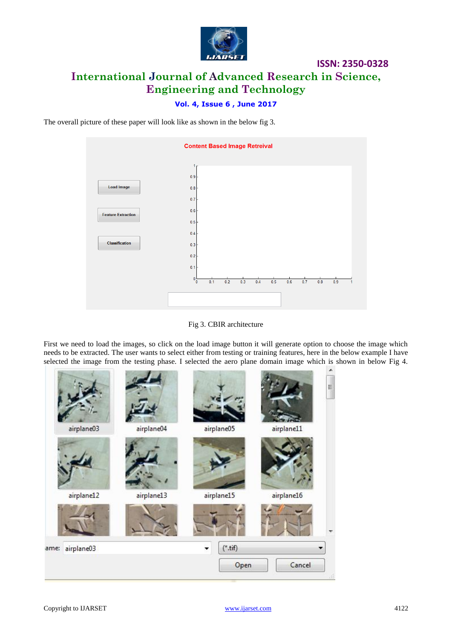

# **ISSN: 2350-0328 International Journal of Advanced Research in Science, Engineering and Technology**

#### **Vol. 4, Issue 6 , June 2017**

The overall picture of these paper will look like as shown in the below fig 3.



Fig 3. CBIR architecture

First we need to load the images, so click on the load image button it will generate option to choose the image which needs to be extracted. The user wants to select either from testing or training features, here in the below example I have selected the image from the testing phase. I selected the aero plane domain image which is shown in below Fig 4.

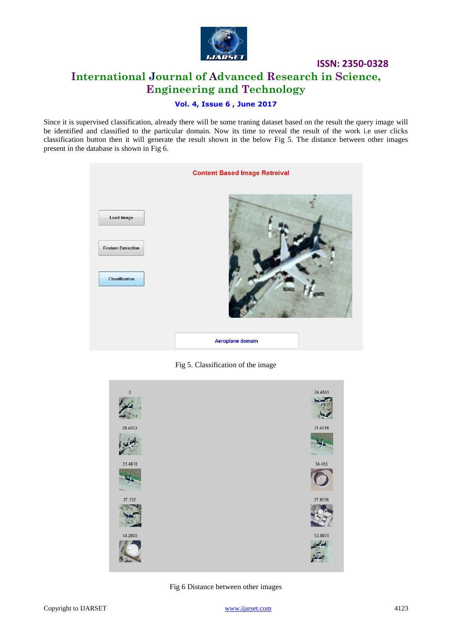

# **ISSN: 2350-0328 International Journal of Advanced Research in Science, Engineering and Technology**

#### **Vol. 4, Issue 6 , June 2017**

Since it is supervised classification, already there will be some traning dataset based on the result the query image will be identified and classified to the particular domain. Now its time to reveal the result of the work i.e user clicks classification button then it will generate the result shown in the below Fig 5. The distance between other images present in the database is shown in Fig 6.

|                           | <b>Content Based Image Retreival</b> |
|---------------------------|--------------------------------------|
| <b>Load Image</b>         |                                      |
| <b>Feature Extraction</b> |                                      |
| Classification            |                                      |
|                           | Aeroplane domain                     |

Fig 5. Classification of the image



Fig 6 Distance between other images